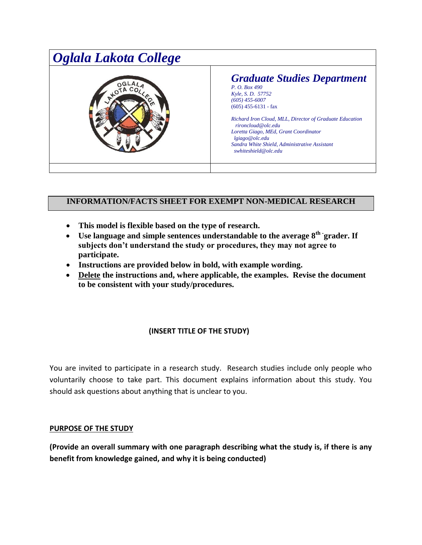

## **INFORMATION/FACTS SHEET FOR EXEMPT NON-MEDICAL RESEARCH**

- **This model is flexible based on the type of research.**
- Use language and simple sentences understandable to the average  $8^{th}$  grader. If **subjects don't understand the study or procedures, they may not agree to participate.**
- **Instructions are provided below in bold, with example wording.**
- **Delete the instructions and, where applicable, the examples. Revise the document to be consistent with your study/procedures.**

## **(INSERT TITLE OF THE STUDY)**

You are invited to participate in a research study. Research studies include only people who voluntarily choose to take part. This document explains information about this study. You should ask questions about anything that is unclear to you.

### **PURPOSE OF THE STUDY**

**(Provide an overall summary with one paragraph describing what the study is, if there is any benefit from knowledge gained, and why it is being conducted)**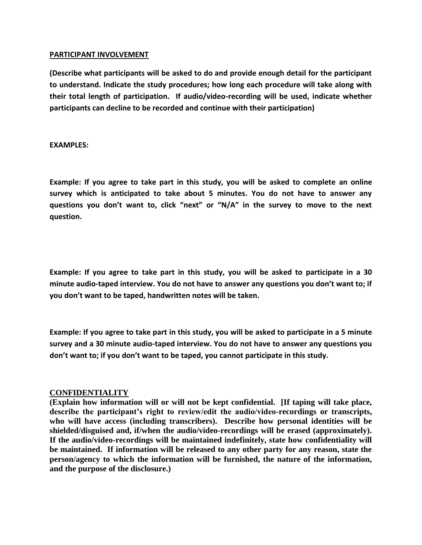#### **PARTICIPANT INVOLVEMENT**

**(Describe what participants will be asked to do and provide enough detail for the participant to understand. Indicate the study procedures; how long each procedure will take along with their total length of participation. If audio/video-recording will be used, indicate whether participants can decline to be recorded and continue with their participation)**

**EXAMPLES:**

**Example: If you agree to take part in this study, you will be asked to complete an online survey which is anticipated to take about 5 minutes. You do not have to answer any questions you don't want to, click "next" or "N/A" in the survey to move to the next question.**

**Example: If you agree to take part in this study, you will be asked to participate in a 30 minute audio-taped interview. You do not have to answer any questions you don't want to; if you don't want to be taped, handwritten notes will be taken.**

**Example: If you agree to take part in this study, you will be asked to participate in a 5 minute survey and a 30 minute audio-taped interview. You do not have to answer any questions you don't want to; if you don't want to be taped, you cannot participate in this study.**

### **CONFIDENTIALITY**

**(Explain how information will or will not be kept confidential. [If taping will take place, describe the participant's right to review/edit the audio/video-recordings or transcripts, who will have access (including transcribers). Describe how personal identities will be shielded/disguised and, if/when the audio/video-recordings will be erased (approximately). If the audio/video-recordings will be maintained indefinitely, state how confidentiality will be maintained. If information will be released to any other party for any reason, state the person/agency to which the information will be furnished, the nature of the information, and the purpose of the disclosure.)**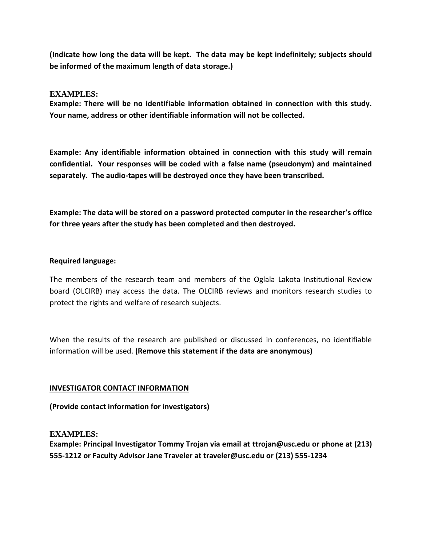**(Indicate how long the data will be kept. The data may be kept indefinitely; subjects should be informed of the maximum length of data storage.)** 

### **EXAMPLES:**

**Example: There will be no identifiable information obtained in connection with this study. Your name, address or other identifiable information will not be collected.** 

**Example: Any identifiable information obtained in connection with this study will remain confidential. Your responses will be coded with a false name (pseudonym) and maintained separately. The audio-tapes will be destroyed once they have been transcribed.**

**Example: The data will be stored on a password protected computer in the researcher's office for three years after the study has been completed and then destroyed.** 

### **Required language:**

The members of the research team and members of the Oglala Lakota Institutional Review board (OLCIRB) may access the data. The OLCIRB reviews and monitors research studies to protect the rights and welfare of research subjects.

When the results of the research are published or discussed in conferences, no identifiable information will be used. **(Remove this statement if the data are anonymous)** 

### **INVESTIGATOR CONTACT INFORMATION**

**(Provide contact information for investigators)**

### **EXAMPLES:**

**Example: Principal Investigator Tommy Trojan via email at [ttrojan@usc.edu](mailto:ttrojan@usc.edu) or phone at (213) 555-1212 or Faculty Advisor Jane Traveler at [traveler@usc.edu](mailto:traveler@usc.edu) or (213) 555-1234**